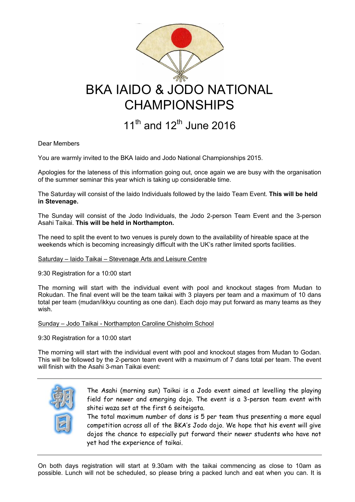

Dear Members

You are warmly invited to the BKA Iaido and Jodo National Championships 2015.

Apologies for the lateness of this information going out, once again we are busy with the organisation of the summer seminar this year which is taking up considerable time.

The Saturday will consist of the Iaido Individuals followed by the Iaido Team Event. This will be held in Stevenage.

The Sunday will consist of the Jodo Individuals, the Jodo 2-person Team Event and the 3-person Asahi Taikai. This will be held in Northampton.

The need to split the event to two venues is purely down to the availability of hireable space at the weekends which is becoming increasingly difficult with the UK's rather limited sports facilities.

## Saturday – Iaido Taikai – Stevenage Arts and Leisure Centre

9:30 Registration for a 10:00 start

The morning will start with the individual event with pool and knockout stages from Mudan to Rokudan. The final event will be the team taikai with 3 players per team and a maximum of 10 dans total per team (mudan/ikkyu counting as one dan). Each dojo may put forward as many teams as they wish.

## Sunday – Jodo Taikai - Northampton Caroline Chisholm School

9:30 Registration for a 10:00 start

The morning will start with the individual event with pool and knockout stages from Mudan to Godan. This will be followed by the 2-person team event with a maximum of 7 dans total per team. The event will finish with the Asahi 3-man Taikai event:



The Asahi (morning sun) Taikai is a Jodo event aimed at levelling the playing field for newer and emerging dojo. The event is a 3-person team event with shitei waza set at the first 6 seiteigata.

The total maximum number of dans is 5 per team thus presenting a more equal competition across all of the BKA's Jodo dojo. We hope that his event will give dojos the chance to especially put forward their newer students who have not yet had the experience of taikai.

On both days registration will start at 9.30am with the taikai commencing as close to 10am as possible. Lunch will not be scheduled, so please bring a packed lunch and eat when you can. It is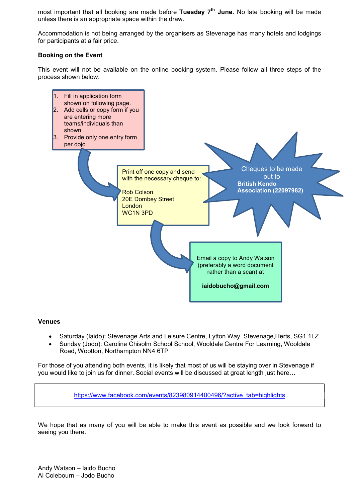most important that all booking are made before Tuesday 7<sup>th</sup> June. No late booking will be made unless there is an appropriate space within the draw.

Accommodation is not being arranged by the organisers as Stevenage has many hotels and lodgings for participants at a fair price.

## Booking on the Event

This event will not be available on the online booking system. Please follow all three steps of the process shown below:



## Venues

- Saturday (Iaido): Stevenage Arts and Leisure Centre, Lytton Way, Stevenage, Herts, SG1 1LZ
- Sunday (Jodo): Caroline Chisolm School School, Wooldale Centre For Learning, Wooldale Road, Wootton, Northampton NN4 6TP

For those of you attending both events, it is likely that most of us will be staying over in Stevenage if you would like to join us for dinner. Social events will be discussed at great length just here…

https://www.facebook.com/events/823980914400496/?active\_tab=highlights

We hope that as many of you will be able to make this event as possible and we look forward to seeing you there.